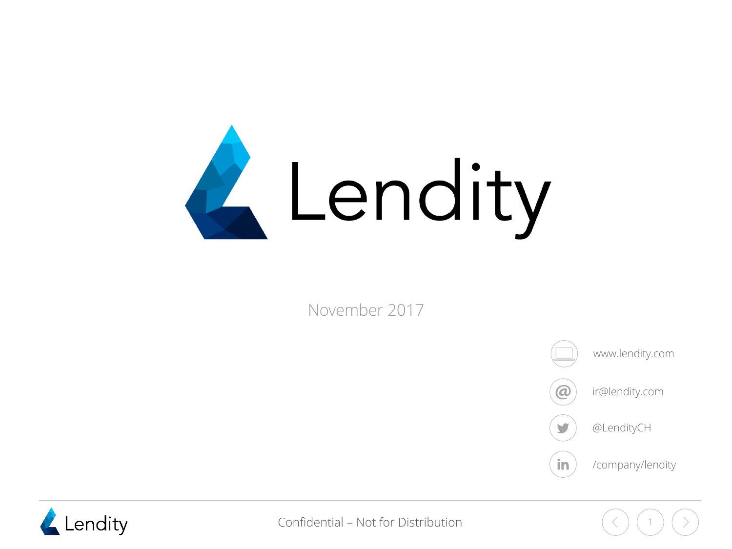

November 2017



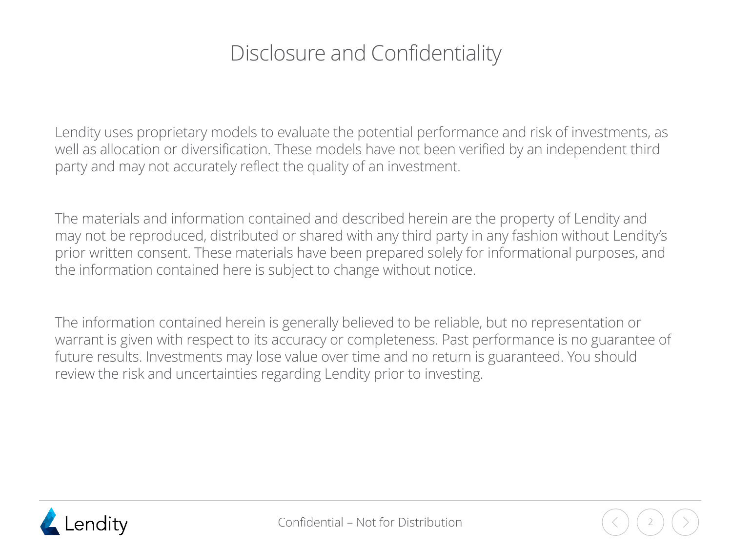### Disclosure and Confidentiality

Lendity uses proprietary models to evaluate the potential performance and risk of investments, as well as allocation or diversification. These models have not been verified by an independent third party and may not accurately reflect the quality of an investment.

The materials and information contained and described herein are the property of Lendity and may not be reproduced, distributed or shared with any third party in any fashion without Lendity's prior written consent. These materials have been prepared solely for informational purposes, and the information contained here is subject to change without notice.

The information contained herein is generally believed to be reliable, but no representation or warrant is given with respect to its accuracy or completeness. Past performance is no guarantee of future results. Investments may lose value over time and no return is guaranteed. You should review the risk and uncertainties regarding Lendity prior to investing.

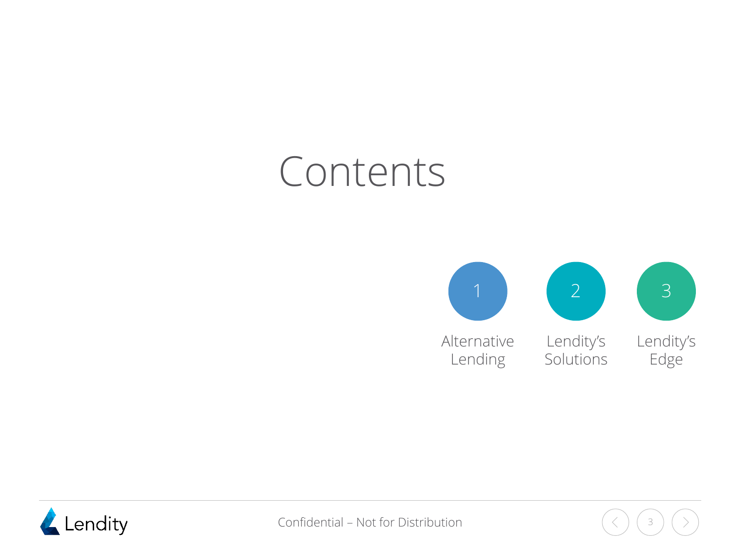# Contents





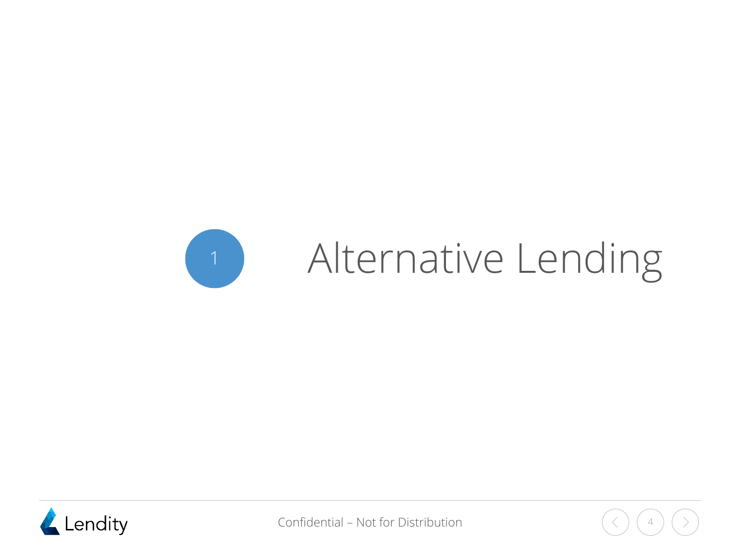<span id="page-3-0"></span>



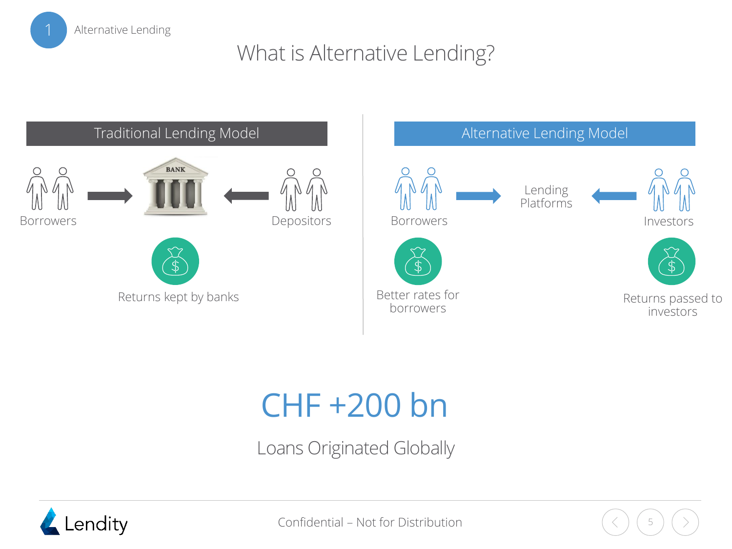

### What is Alternative Lending?





## CHF +200 bn

Loans Originated Globally

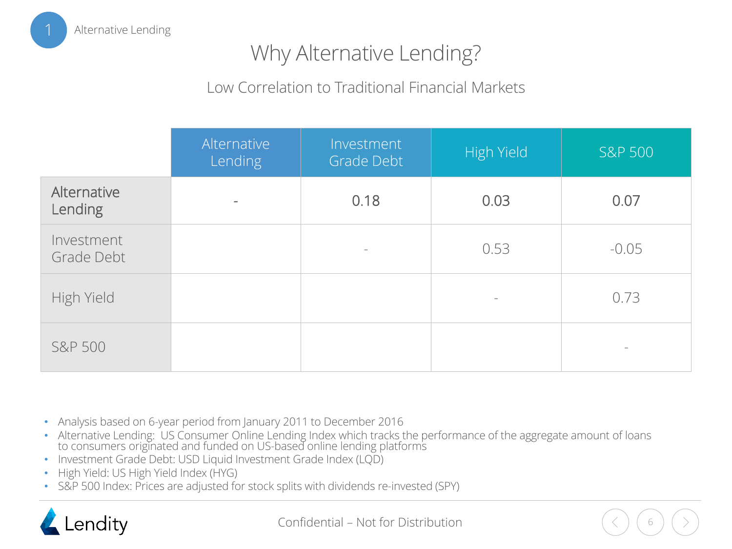

### Why Alternative Lending?

#### Low Correlation to Traditional Financial Markets

|                          | Alternative<br>Lending | Investment<br>Grade Debt | High Yield               | <b>S&amp;P 500</b> |
|--------------------------|------------------------|--------------------------|--------------------------|--------------------|
| Alternative<br>Lending   | $\qquad \qquad =$      | 0.18                     | 0.03                     | 0.07               |
| Investment<br>Grade Debt |                        | $\qquad \qquad -$        | 0.53                     | $-0.05$            |
| High Yield               |                        |                          | $\overline{\phantom{a}}$ | 0.73               |
| <b>S&amp;P 500</b>       |                        |                          |                          |                    |

- Analysis based on 6-year period from January 2011 to December 2016
- Alternative Lending: US Consumer Online Lending Index which tracks the performance of the aggregate amount of loans to consumers originated and funded on US-based online lending platforms
- Investment Grade Debt: USD Liquid Investment Grade Index (LQD)
- High Yield: US High Yield Index (HYG)
- S&P 500 Index: Prices are adjusted for stock splits with dividends re-invested (SPY)

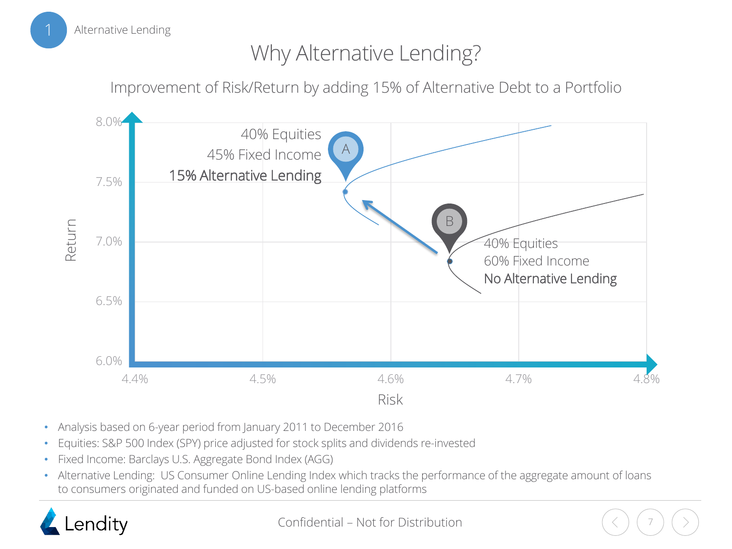

### Why Alternative Lending?

Improvement of Risk/Return by adding 15% of Alternative Debt to a Portfolio



- Analysis based on 6-year period from January 2011 to December 2016
- Equities: S&P 500 Index (SPY) price adjusted for stock splits and dividends re-invested
- Fixed Income: Barclays U.S. Aggregate Bond Index (AGG)
- Alternative Lending: US Consumer Online Lending Index which tracks the performance of the aggregate amount of loans to consumers originated and funded on US-based online lending platforms

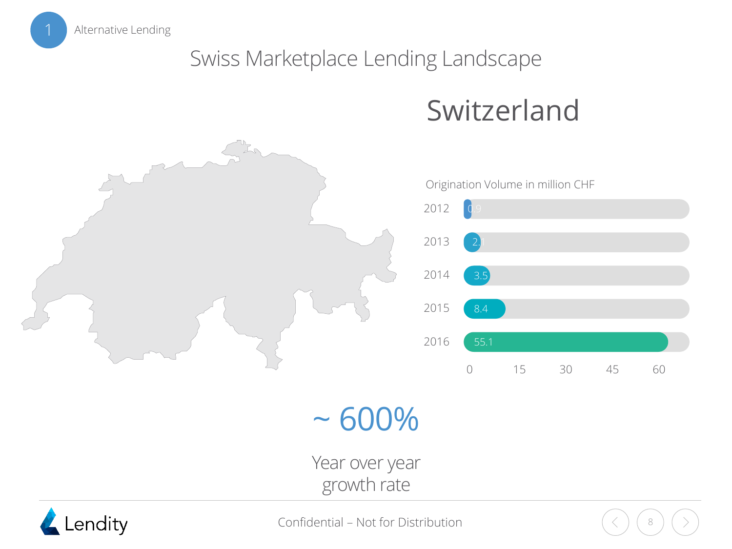Alternative Lending

### Swiss Marketplace Lending Landscape

## Switzerland



 $~100\%$ 

Year over year growth rate

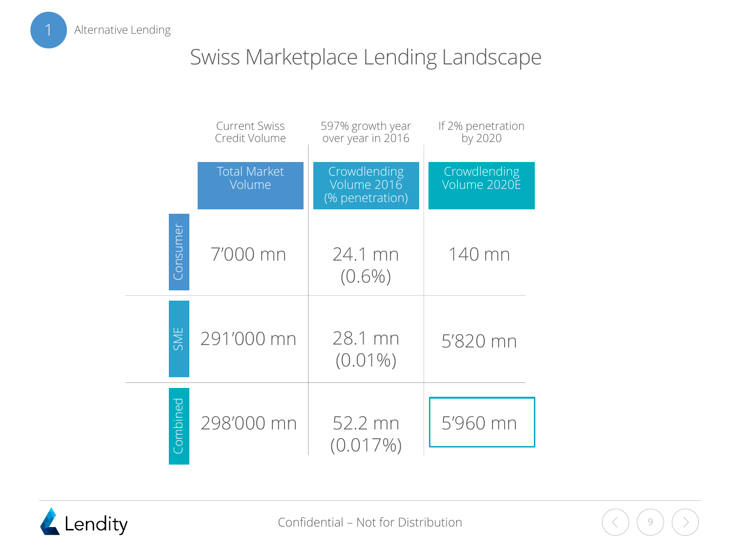Alternative Lending

### Swiss Marketplace Lending Landscape

|          | <b>Current Swiss</b><br>Credit Volume | 597% growth year<br>over year in 2016          | If 2% penetration<br>by 2020 |
|----------|---------------------------------------|------------------------------------------------|------------------------------|
|          | <b>Total Market</b><br>Volume         | Crowdlending<br>Volume 2016<br>(% penetration) | Crowdlending<br>Volume 2020E |
| Consumer | 7'000 mn                              | 24.1 mn<br>$(0.6\%)$                           | 140 mn                       |
| SME      | 291'000 mn                            | 28.1 mn<br>$(0.01\%)$                          | 5'820 mn                     |
| Combined | 298'000 mn                            | 52.2 mn<br>(0.017%)                            | 5'960 mn                     |



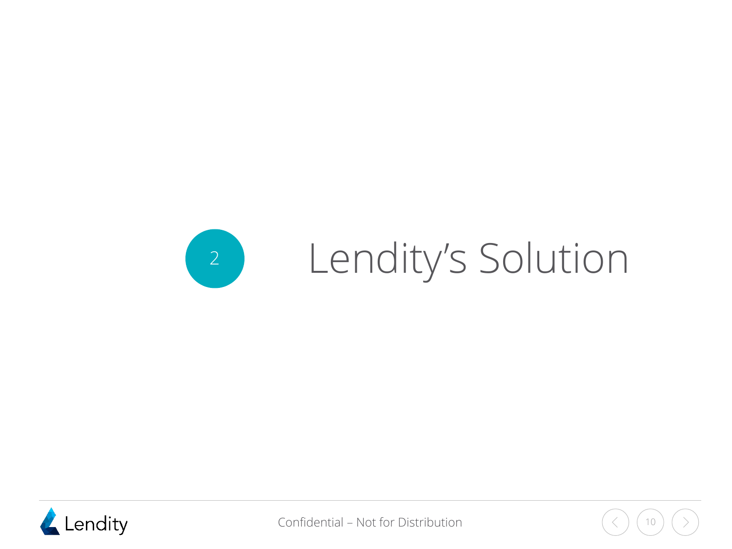<span id="page-9-0"></span>



Confidential – Not for Distribution  $($   $\langle$   $)$   $($  10

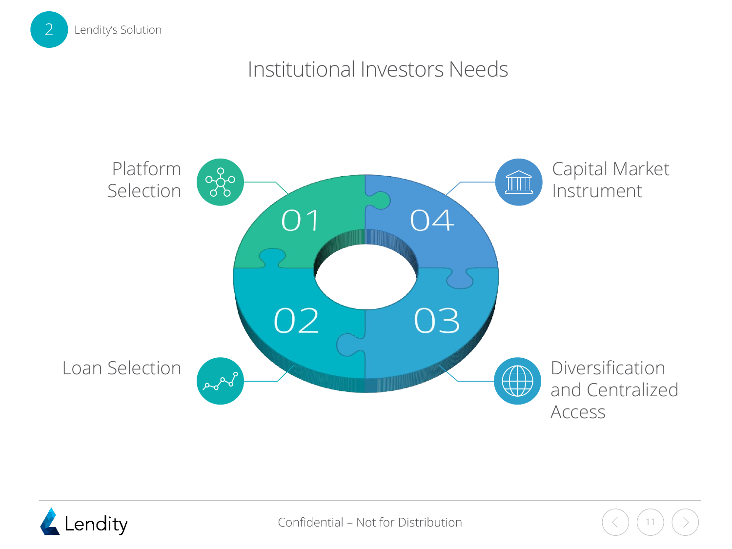

### Institutional Investors Needs





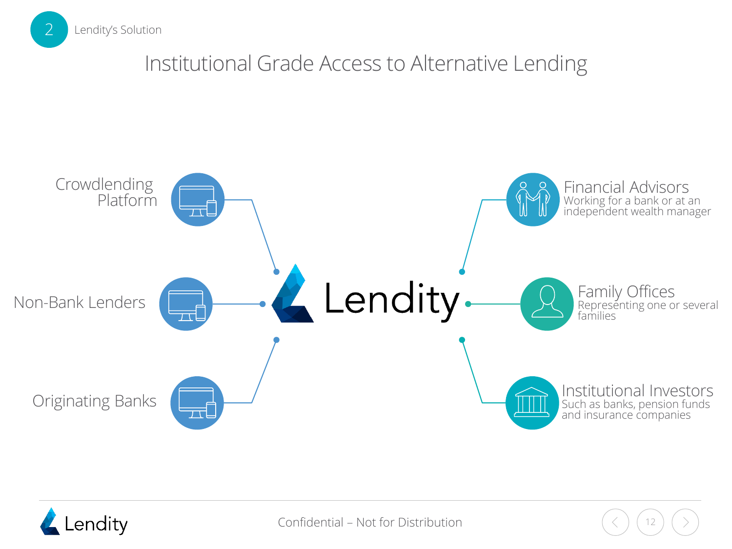

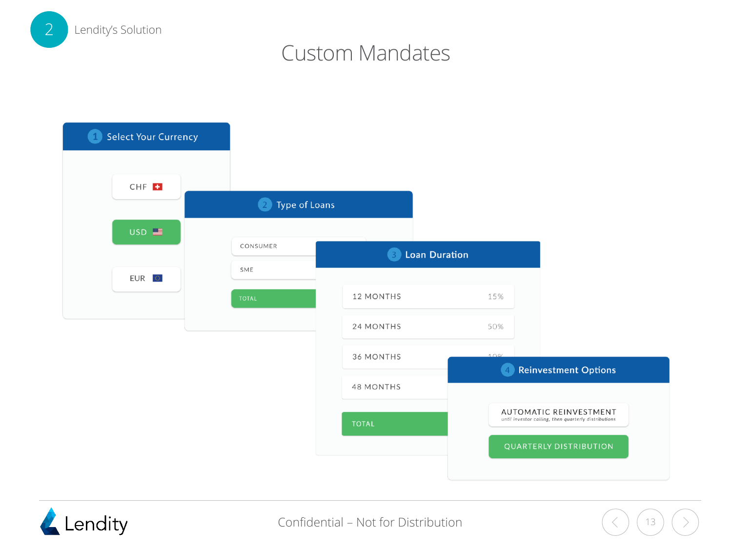

### Custom Mandates



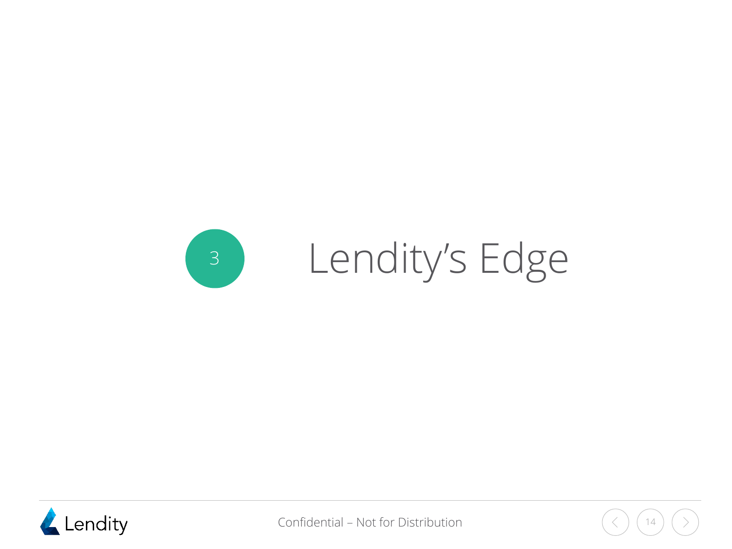<span id="page-13-0"></span>



Confidential – Not for Distribution  $($   $($   $)$   $($   $)$   $($   $)$   $($   $)$   $($   $)$   $($   $)$   $($   $)$   $($   $)$   $($   $)$   $($   $)$   $($   $)$   $($   $)$   $($   $)$   $($   $)$   $($   $)$   $($   $)$   $($   $)$   $($   $)$   $($   $)$   $($   $)$   $($   $)$   $($   $)$   $($ 

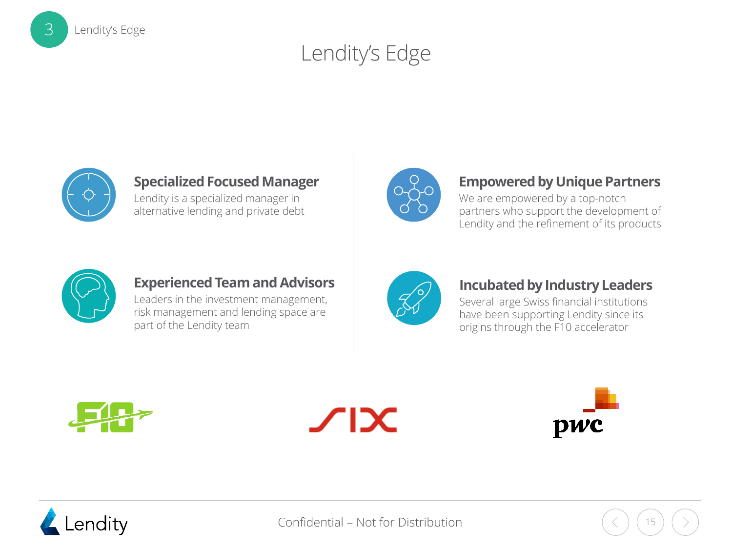



Lendity's Edge

3

#### **Specialized Focused Manager**

Lendity is a specialized manager in alternative lending and private debt



#### **Empowered by Unique Partners**

We are empowered by a top-notch partners who support the development of Lendity and the refinement of its products



#### **Experienced Team and Advisors**

Leaders in the investment management, risk management and lending space are part of the Lendity team



#### **Incubated by Industry Leaders**

Several large Swiss financial institutions have been supporting Lendity since its origins through the F10 accelerator







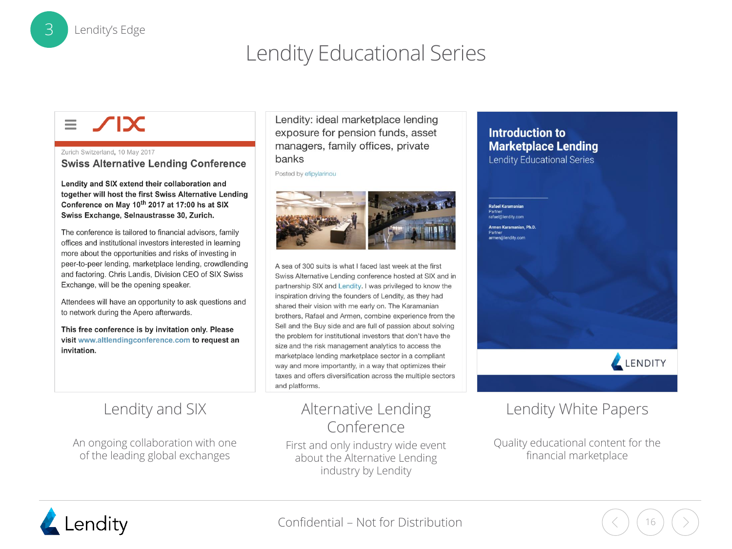### Lendity Educational Series

#### $\chi$  $\equiv$

Lendity's Edge

Zurich Switzerland, 10 May 2017 **Swiss Alternative Lending Conference** 

Lendity and SIX extend their collaboration and together will host the first Swiss Alternative Lending Conference on May 10<sup>th</sup> 2017 at 17:00 hs at SIX Swiss Exchange, Selnaustrasse 30, Zurich.

The conference is tailored to financial advisors, family offices and institutional investors interested in learning more about the opportunities and risks of investing in peer-to-peer lending, marketplace lending, crowdlending and factoring. Chris Landis, Division CEO of SIX Swiss Exchange, will be the opening speaker.

Attendees will have an opportunity to ask questions and to network during the Apero afterwards.

This free conference is by invitation only. Please visit www.altlendingconference.com to request an invitation.

#### Lendity and SIX

An ongoing collaboration with one of the leading global exchanges

Lendity: ideal marketplace lending exposure for pension funds, asset managers, family offices, private banks

Posted by efipylarinou



A sea of 300 suits is what I faced last week at the first Swiss Alternative Lending conference hosted at SIX and in partnership SIX and Lendity. I was privileged to know the inspiration driving the founders of Lendity, as they had shared their vision with me early on. The Karamanian brothers, Rafael and Armen, combine experience from the Sell and the Buy side and are full of passion about solving the problem for institutional investors that don't have the size and the risk management analytics to access the marketplace lending marketplace sector in a compliant way and more importantly, in a way that optimizes their taxes and offers diversification across the multiple sectors and platforms.

#### Alternative Lending Conference

First and only industry wide event about the Alternative Lending industry by Lendity

#### **Introduction to Marketplace Lending**

**Lendity Educational Series** 

Rafael Karamanian Partner<br>rafael@lendity.com Armen Karamanian, Ph.D. r anner<br>armen@lendity.com



#### Lendity White Papers

Quality educational content for the financial marketplace

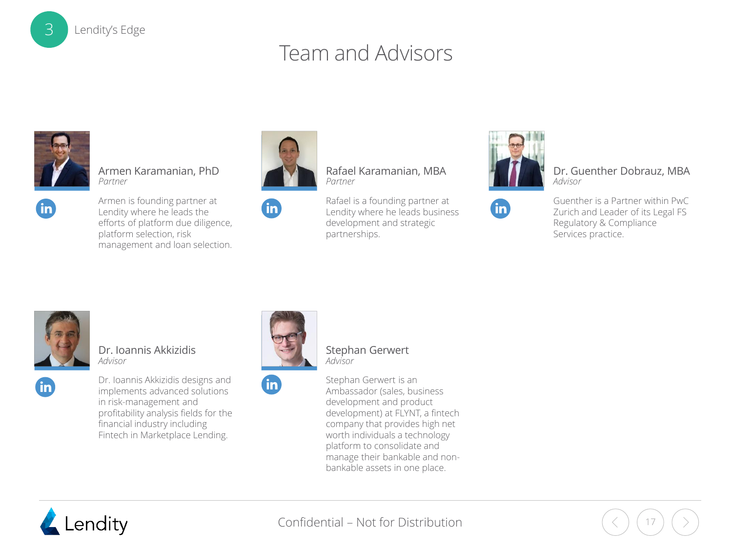### Team and Advisors



Armen Karamanian, PhD *Partner*



Armen is founding partner at Lendity where he leads the efforts of platform due diligence, platform selection, risk management and loan selection.



**fin** 

*Partner*

Rafael is a founding partner at Lendity where he leads business development and strategic partnerships.

Rafael Karamanian, MBA



**fin** 

Dr. Guenther Dobrauz, MBA *Advisor*





fn.

Dr. Ioannis Akkizidis *Advisor*

Dr. Ioannis Akkizidis designs and implements advanced solutions in risk-management and profitability analysis fields for the financial industry including Fintech in Marketplace Lending.



Stephan Gerwert *Advisor*

**fin** 

Stephan Gerwert is an Ambassador (sales, business development and product development) at FLYNT, a fintech company that provides high net worth individuals a technology platform to consolidate and manage their bankable and nonbankable assets in one place.



Confidential – Not for Distribution

Lendity's Edge